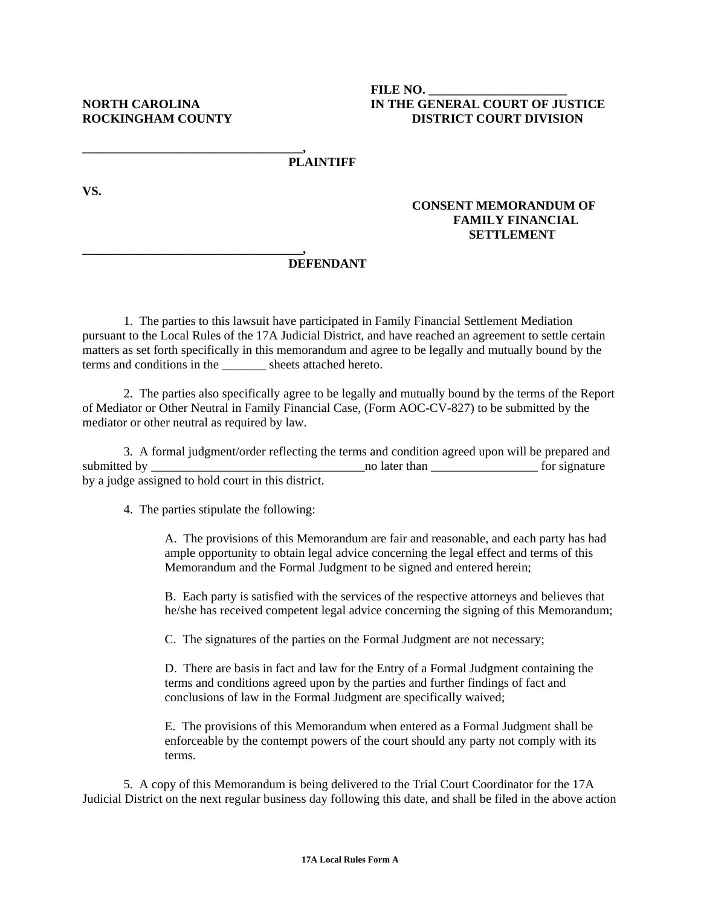## **FILE NO. \_\_\_\_\_\_\_\_\_\_\_\_\_\_\_\_\_\_\_\_\_\_ NORTH CAROLINA IN THE GENERAL COURT OF JUSTICE ROCKINGHAM COUNTY DISTRICT COURT DIVISION**

#### **\_\_\_\_\_\_\_\_\_\_\_\_\_\_\_\_\_\_\_\_\_\_\_\_\_\_\_\_\_\_\_\_\_\_\_, PLAINTIFF**

**VS.** 

# **CONSENT MEMORANDUM OF FAMILY FINANCIAL SETTLEMENT**

### **\_\_\_\_\_\_\_\_\_\_\_\_\_\_\_\_\_\_\_\_\_\_\_\_\_\_\_\_\_\_\_\_\_\_\_, DEFENDANT**

1. The parties to this lawsuit have participated in Family Financial Settlement Mediation pursuant to the Local Rules of the 17A Judicial District, and have reached an agreement to settle certain matters as set forth specifically in this memorandum and agree to be legally and mutually bound by the terms and conditions in the sheets attached hereto.

 2. The parties also specifically agree to be legally and mutually bound by the terms of the Report of Mediator or Other Neutral in Family Financial Case, (Form AOC-CV-827) to be submitted by the mediator or other neutral as required by law.

 3. A formal judgment/order reflecting the terms and condition agreed upon will be prepared and submitted by \_\_\_\_\_\_\_\_\_\_\_\_\_\_\_\_\_\_\_\_\_\_\_\_\_\_\_\_\_\_\_\_\_\_no later than \_\_\_\_\_\_\_\_\_\_\_\_\_\_\_\_\_ for signature by a judge assigned to hold court in this district.

4. The parties stipulate the following:

A. The provisions of this Memorandum are fair and reasonable, and each party has had ample opportunity to obtain legal advice concerning the legal effect and terms of this Memorandum and the Formal Judgment to be signed and entered herein;

B. Each party is satisfied with the services of the respective attorneys and believes that he/she has received competent legal advice concerning the signing of this Memorandum;

C. The signatures of the parties on the Formal Judgment are not necessary;

D. There are basis in fact and law for the Entry of a Formal Judgment containing the terms and conditions agreed upon by the parties and further findings of fact and conclusions of law in the Formal Judgment are specifically waived;

E. The provisions of this Memorandum when entered as a Formal Judgment shall be enforceable by the contempt powers of the court should any party not comply with its terms.

 5. A copy of this Memorandum is being delivered to the Trial Court Coordinator for the 17A Judicial District on the next regular business day following this date, and shall be filed in the above action